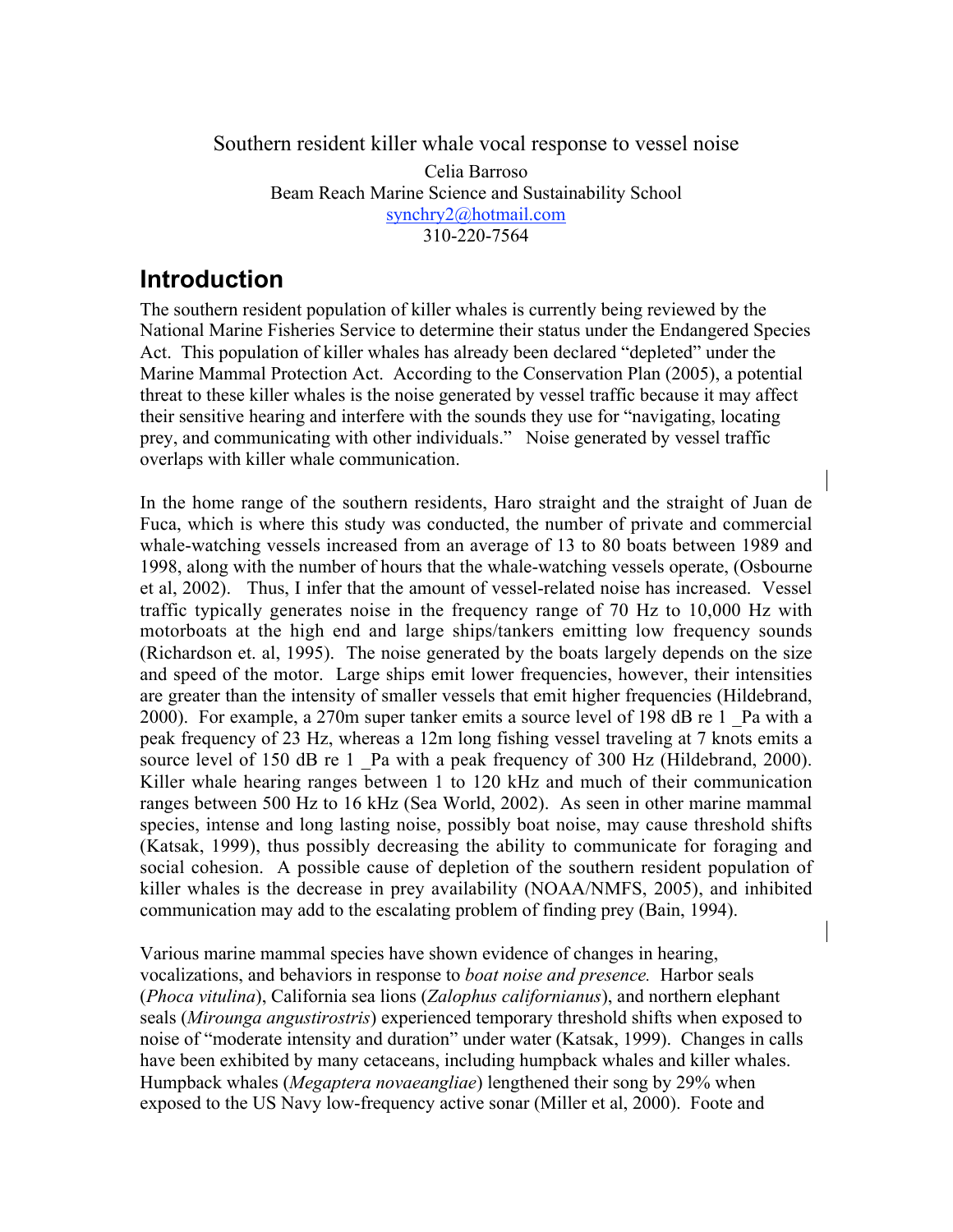Southern resident killer whale vocal response to vessel noise Celia Barroso Beam Reach Marine Science and Sustainability School synchry2@hotmail.com 310-220-7564

#### **Introduction**

The southern resident population of killer whales is currently being reviewed by the National Marine Fisheries Service to determine their status under the Endangered Species Act. This population of killer whales has already been declared "depleted" under the Marine Mammal Protection Act. According to the Conservation Plan (2005), a potential threat to these killer whales is the noise generated by vessel traffic because it may affect their sensitive hearing and interfere with the sounds they use for "navigating, locating prey, and communicating with other individuals." Noise generated by vessel traffic overlaps with killer whale communication.

In the home range of the southern residents, Haro straight and the straight of Juan de Fuca, which is where this study was conducted, the number of private and commercial whale-watching vessels increased from an average of 13 to 80 boats between 1989 and 1998, along with the number of hours that the whale-watching vessels operate, (Osbourne et al, 2002). Thus, I infer that the amount of vessel-related noise has increased. Vessel traffic typically generates noise in the frequency range of 70 Hz to 10,000 Hz with motorboats at the high end and large ships/tankers emitting low frequency sounds (Richardson et. al, 1995). The noise generated by the boats largely depends on the size and speed of the motor. Large ships emit lower frequencies, however, their intensities are greater than the intensity of smaller vessels that emit higher frequencies (Hildebrand, 2000). For example, a 270m super tanker emits a source level of 198 dB re 1 \_Pa with a peak frequency of 23 Hz, whereas a 12m long fishing vessel traveling at 7 knots emits a source level of 150 dB re 1 Pa with a peak frequency of 300 Hz (Hildebrand, 2000). Killer whale hearing ranges between 1 to 120 kHz and much of their communication ranges between 500 Hz to 16 kHz (Sea World, 2002). As seen in other marine mammal species, intense and long lasting noise, possibly boat noise, may cause threshold shifts (Katsak, 1999), thus possibly decreasing the ability to communicate for foraging and social cohesion. A possible cause of depletion of the southern resident population of killer whales is the decrease in prey availability (NOAA/NMFS, 2005), and inhibited communication may add to the escalating problem of finding prey (Bain, 1994).

Various marine mammal species have shown evidence of changes in hearing, vocalizations, and behaviors in response to *boat noise and presence.* Harbor seals (*Phoca vitulina*), California sea lions (*Zalophus californianus*), and northern elephant seals (*Mirounga angustirostris*) experienced temporary threshold shifts when exposed to noise of "moderate intensity and duration" under water (Katsak, 1999). Changes in calls have been exhibited by many cetaceans, including humpback whales and killer whales. Humpback whales (*Megaptera novaeangliae*) lengthened their song by 29% when exposed to the US Navy low-frequency active sonar (Miller et al, 2000). Foote and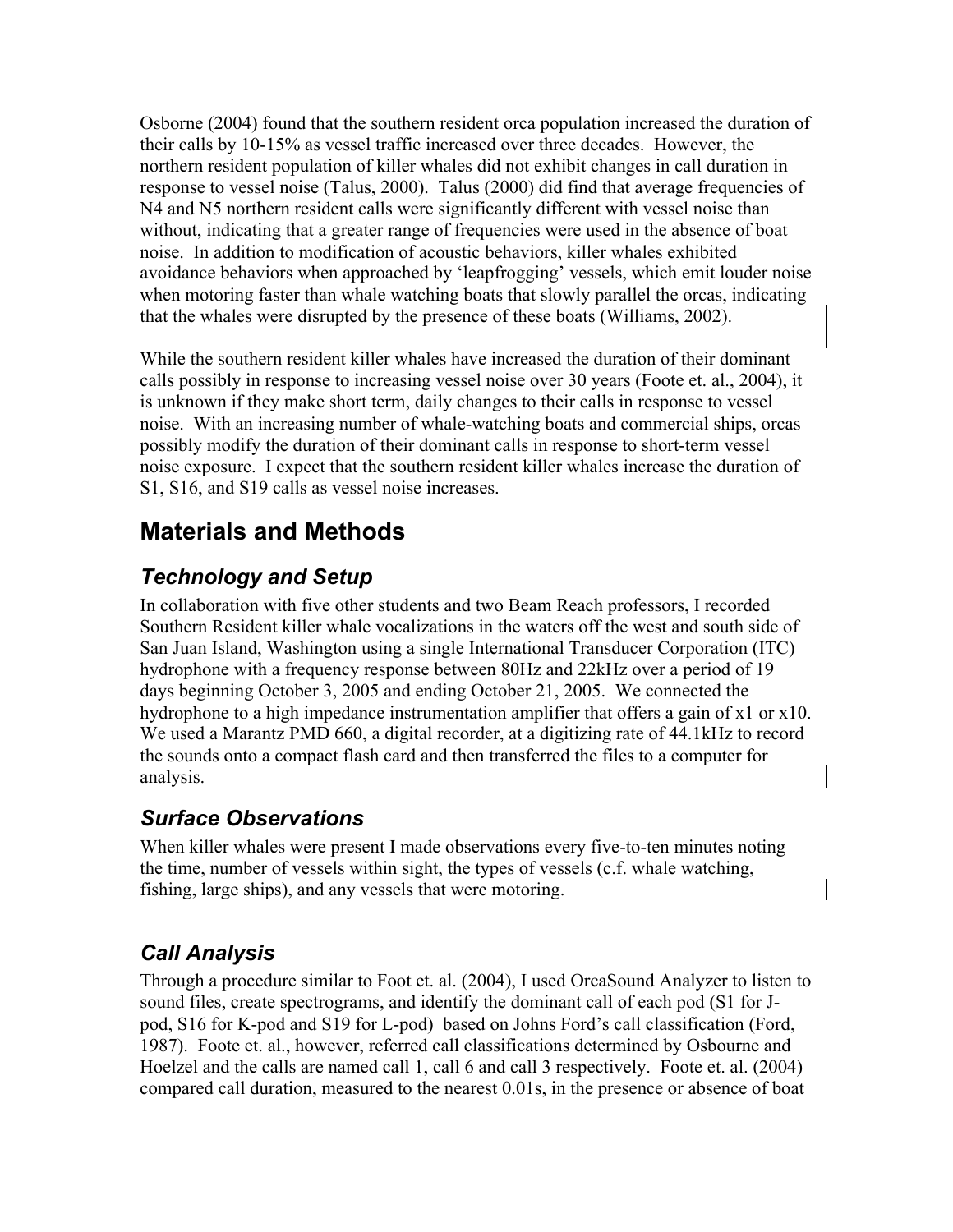Osborne (2004) found that the southern resident orca population increased the duration of their calls by 10-15% as vessel traffic increased over three decades. However, the northern resident population of killer whales did not exhibit changes in call duration in response to vessel noise (Talus, 2000). Talus (2000) did find that average frequencies of N4 and N5 northern resident calls were significantly different with vessel noise than without, indicating that a greater range of frequencies were used in the absence of boat noise. In addition to modification of acoustic behaviors, killer whales exhibited avoidance behaviors when approached by 'leapfrogging' vessels, which emit louder noise when motoring faster than whale watching boats that slowly parallel the orcas, indicating that the whales were disrupted by the presence of these boats (Williams, 2002).

While the southern resident killer whales have increased the duration of their dominant calls possibly in response to increasing vessel noise over 30 years (Foote et. al., 2004), it is unknown if they make short term, daily changes to their calls in response to vessel noise. With an increasing number of whale-watching boats and commercial ships, orcas possibly modify the duration of their dominant calls in response to short-term vessel noise exposure. I expect that the southern resident killer whales increase the duration of S1, S16, and S19 calls as vessel noise increases.

## **Materials and Methods**

### *Technology and Setup*

In collaboration with five other students and two Beam Reach professors, I recorded Southern Resident killer whale vocalizations in the waters off the west and south side of San Juan Island, Washington using a single International Transducer Corporation (ITC) hydrophone with a frequency response between 80Hz and 22kHz over a period of 19 days beginning October 3, 2005 and ending October 21, 2005. We connected the hydrophone to a high impedance instrumentation amplifier that offers a gain of x1 or x10. We used a Marantz PMD 660, a digital recorder, at a digitizing rate of 44.1kHz to record the sounds onto a compact flash card and then transferred the files to a computer for analysis.

#### *Surface Observations*

When killer whales were present I made observations every five-to-ten minutes noting the time, number of vessels within sight, the types of vessels (c.f. whale watching, fishing, large ships), and any vessels that were motoring.

### *Call Analysis*

Through a procedure similar to Foot et. al. (2004), I used OrcaSound Analyzer to listen to sound files, create spectrograms, and identify the dominant call of each pod (S1 for Jpod, S16 for K-pod and S19 for L-pod) based on Johns Ford's call classification (Ford, 1987). Foote et. al., however, referred call classifications determined by Osbourne and Hoelzel and the calls are named call 1, call 6 and call 3 respectively. Foote et. al. (2004) compared call duration, measured to the nearest 0.01s, in the presence or absence of boat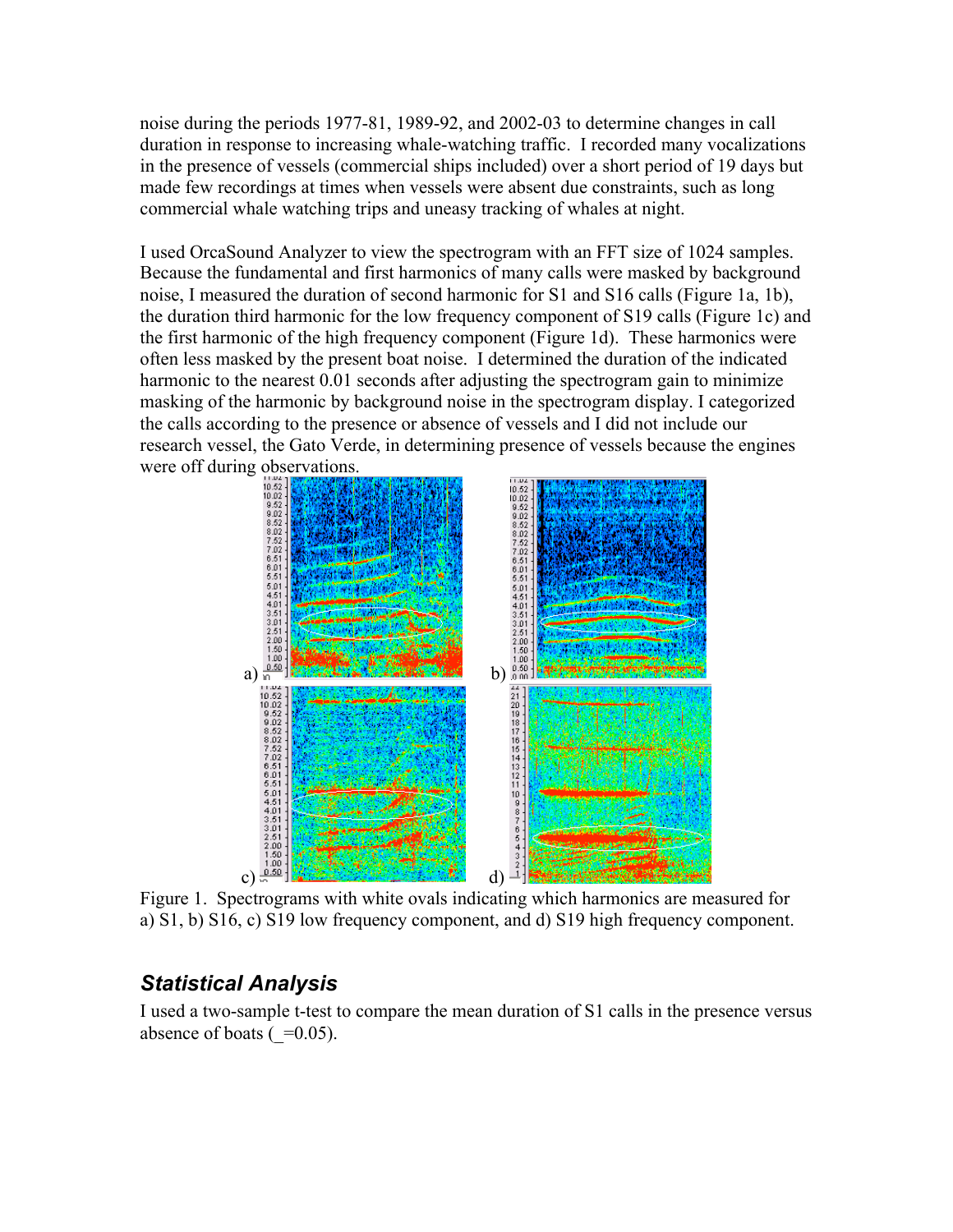noise during the periods 1977-81, 1989-92, and 2002-03 to determine changes in call duration in response to increasing whale-watching traffic. I recorded many vocalizations in the presence of vessels (commercial ships included) over a short period of 19 days but made few recordings at times when vessels were absent due constraints, such as long commercial whale watching trips and uneasy tracking of whales at night.

I used OrcaSound Analyzer to view the spectrogram with an FFT size of 1024 samples. Because the fundamental and first harmonics of many calls were masked by background noise, I measured the duration of second harmonic for S1 and S16 calls (Figure 1a, 1b), the duration third harmonic for the low frequency component of S19 calls (Figure 1c) and the first harmonic of the high frequency component (Figure 1d). These harmonics were often less masked by the present boat noise. I determined the duration of the indicated harmonic to the nearest 0.01 seconds after adjusting the spectrogram gain to minimize masking of the harmonic by background noise in the spectrogram display. I categorized the calls according to the presence or absence of vessels and I did not include our research vessel, the Gato Verde, in determining presence of vessels because the engines were off during observations.



Figure 1. Spectrograms with white ovals indicating which harmonics are measured for a) S1, b) S16, c) S19 low frequency component, and d) S19 high frequency component.

#### *Statistical Analysis*

I used a two-sample t-test to compare the mean duration of S1 calls in the presence versus absence of boats  $( =0.05)$ .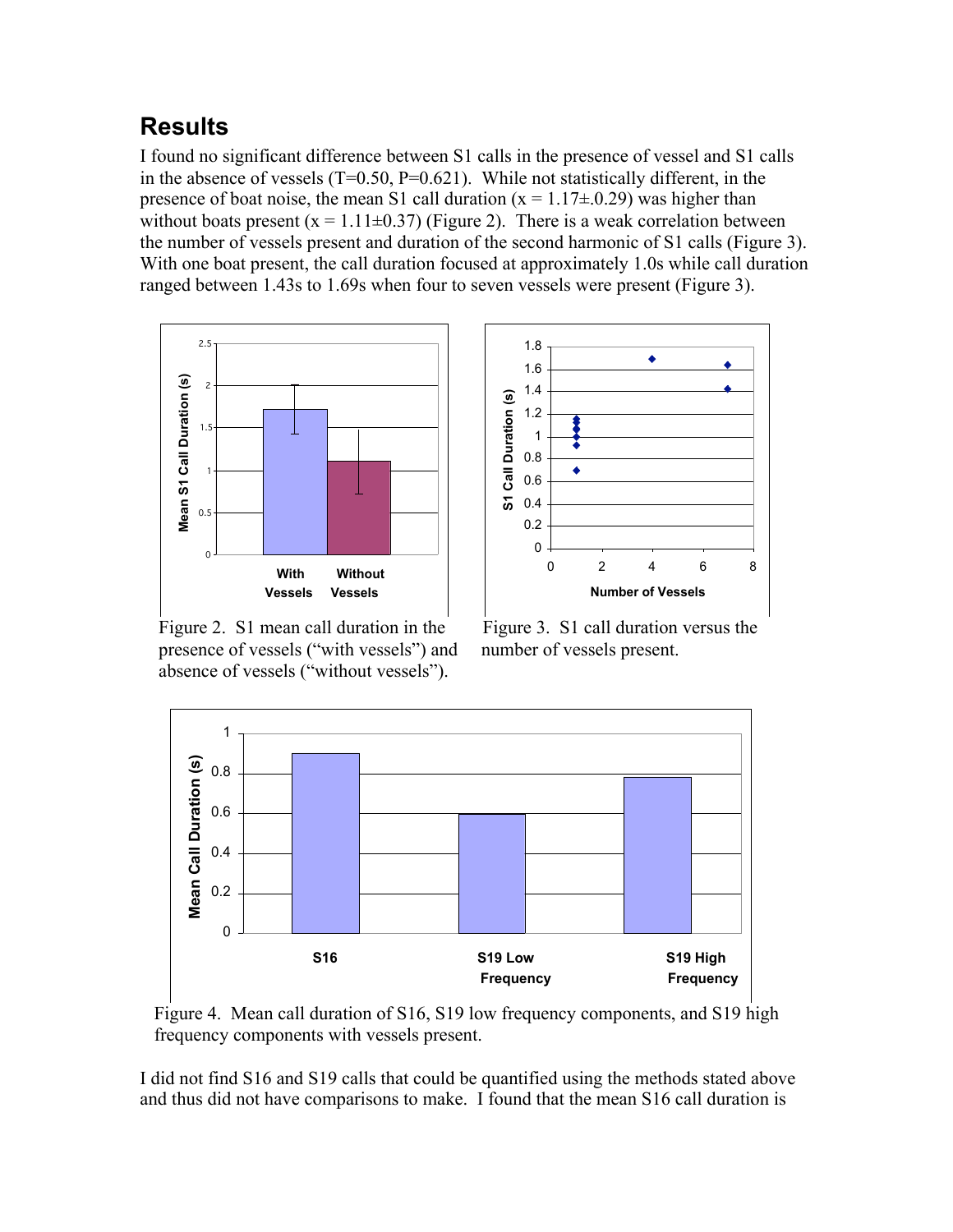# **Results**

I found no significant difference between S1 calls in the presence of vessel and S1 calls in the absence of vessels  $(T=0.50, P=0.621)$ . While not statistically different, in the presence of boat noise, the mean S1 call duration  $(x = 1.17 \pm 0.29)$  was higher than without boats present  $(x = 1.11 \pm 0.37)$  (Figure 2). There is a weak correlation between the number of vessels present and duration of the second harmonic of S1 calls (Figure 3). With one boat present, the call duration focused at approximately 1.0s while call duration ranged between 1.43s to 1.69s when four to seven vessels were present (Figure 3).



 Figure 2. S1 mean call duration in the Figure 3. S1 call duration versus the presence of vessels ("with vessels") and number of vessels present. absence of vessels ("without vessels").





 Figure 4. Mean call duration of S16, S19 low frequency components, and S19 high frequency components with vessels present.

I did not find S16 and S19 calls that could be quantified using the methods stated above and thus did not have comparisons to make. I found that the mean S16 call duration is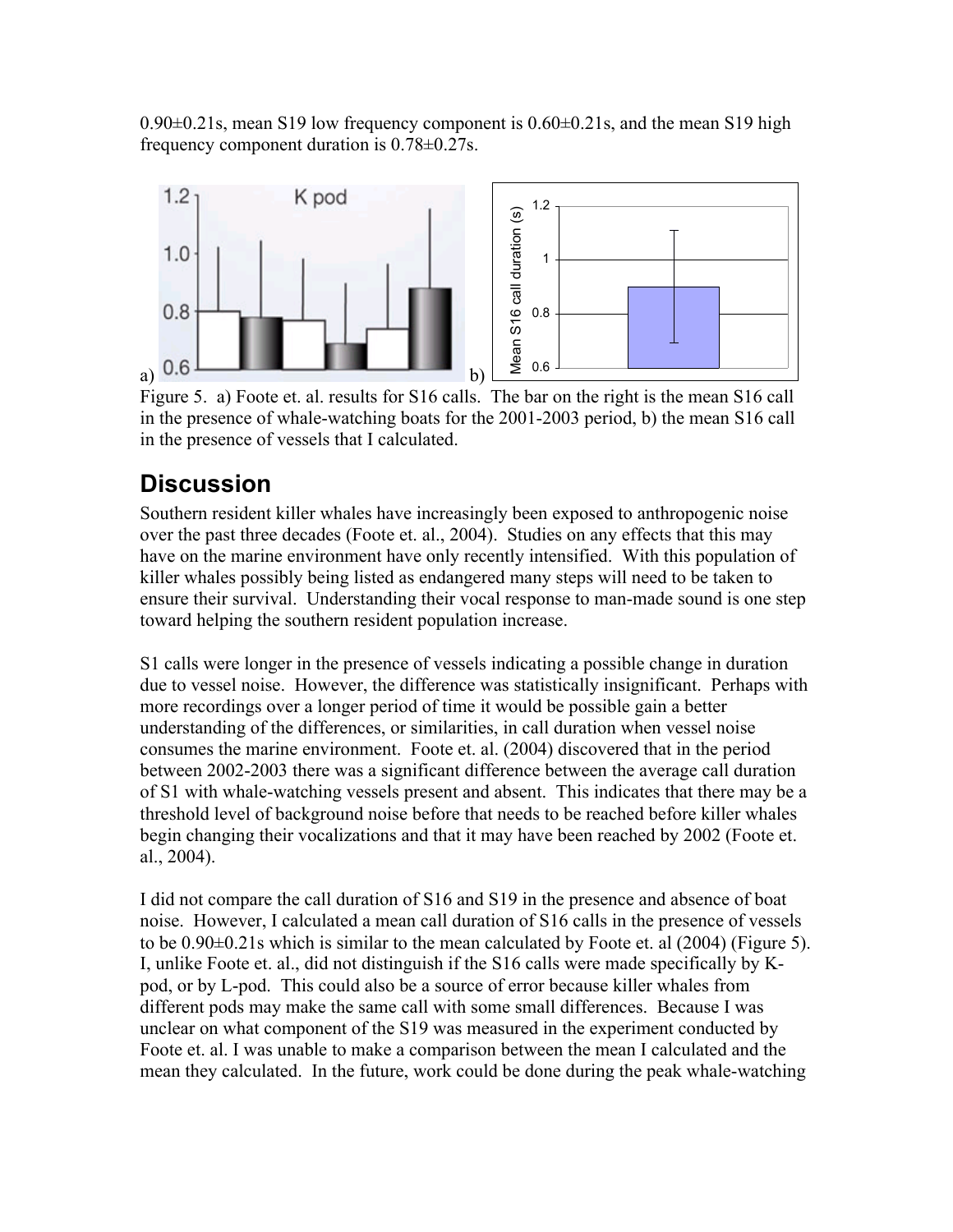$0.90\pm0.21$ s, mean S19 low frequency component is  $0.60\pm0.21$ s, and the mean S19 high frequency component duration is 0.78±0.27s.



Figure 5. a) Foote et. al. results for S16 calls. The bar on the right is the mean S16 call in the presence of whale-watching boats for the 2001-2003 period, b) the mean S16 call in the presence of vessels that I calculated.

## **Discussion**

Southern resident killer whales have increasingly been exposed to anthropogenic noise over the past three decades (Foote et. al., 2004). Studies on any effects that this may have on the marine environment have only recently intensified. With this population of killer whales possibly being listed as endangered many steps will need to be taken to ensure their survival. Understanding their vocal response to man-made sound is one step toward helping the southern resident population increase.

S1 calls were longer in the presence of vessels indicating a possible change in duration due to vessel noise. However, the difference was statistically insignificant. Perhaps with more recordings over a longer period of time it would be possible gain a better understanding of the differences, or similarities, in call duration when vessel noise consumes the marine environment. Foote et. al. (2004) discovered that in the period between 2002-2003 there was a significant difference between the average call duration of S1 with whale-watching vessels present and absent. This indicates that there may be a threshold level of background noise before that needs to be reached before killer whales begin changing their vocalizations and that it may have been reached by 2002 (Foote et. al., 2004).

I did not compare the call duration of S16 and S19 in the presence and absence of boat noise. However, I calculated a mean call duration of S16 calls in the presence of vessels to be 0.90±0.21s which is similar to the mean calculated by Foote et. al (2004) (Figure 5). I, unlike Foote et. al., did not distinguish if the S16 calls were made specifically by Kpod, or by L-pod. This could also be a source of error because killer whales from different pods may make the same call with some small differences. Because I was unclear on what component of the S19 was measured in the experiment conducted by Foote et. al. I was unable to make a comparison between the mean I calculated and the mean they calculated. In the future, work could be done during the peak whale-watching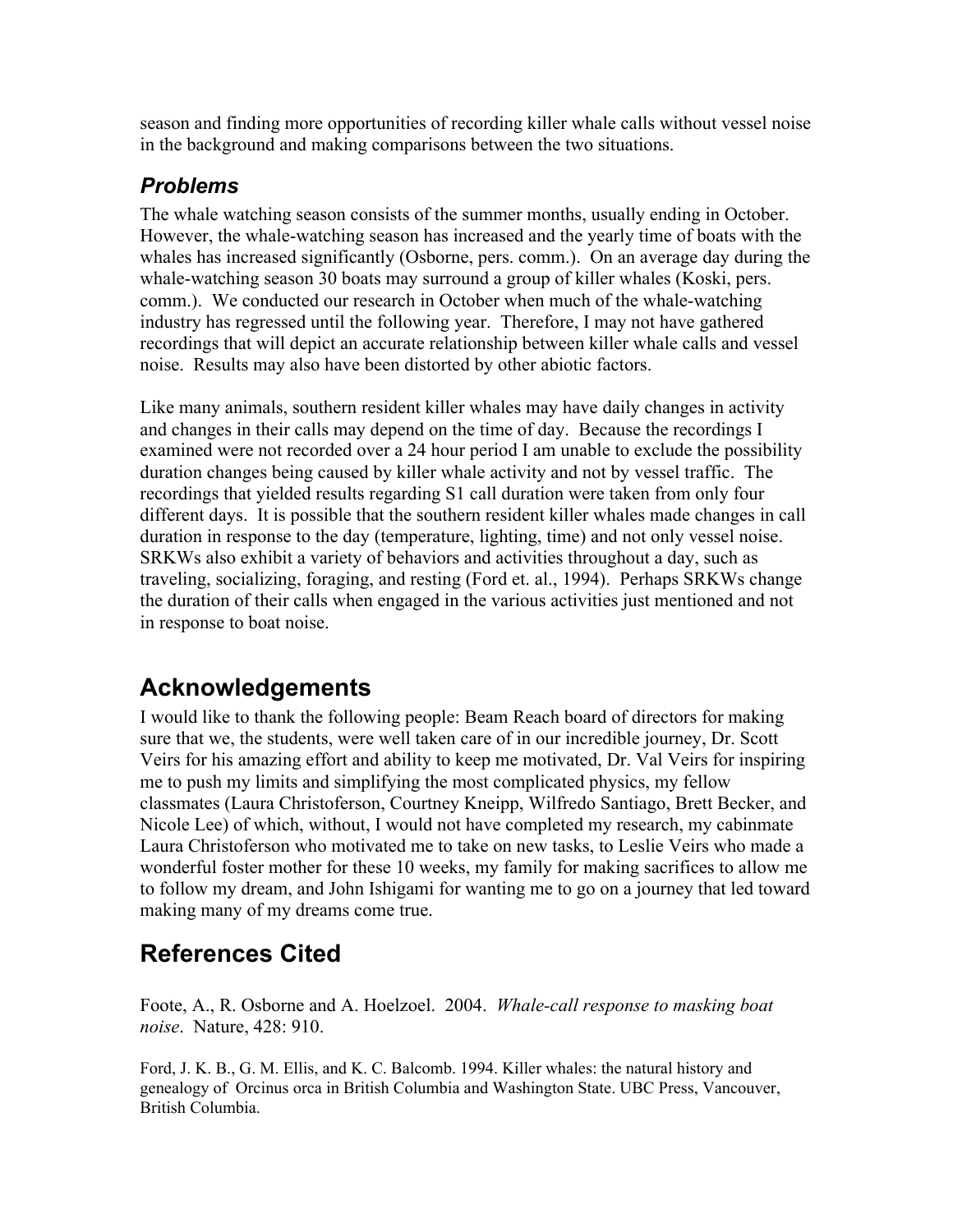season and finding more opportunities of recording killer whale calls without vessel noise in the background and making comparisons between the two situations.

#### *Problems*

The whale watching season consists of the summer months, usually ending in October. However, the whale-watching season has increased and the yearly time of boats with the whales has increased significantly (Osborne, pers. comm.). On an average day during the whale-watching season 30 boats may surround a group of killer whales (Koski, pers. comm.). We conducted our research in October when much of the whale-watching industry has regressed until the following year. Therefore, I may not have gathered recordings that will depict an accurate relationship between killer whale calls and vessel noise. Results may also have been distorted by other abiotic factors.

Like many animals, southern resident killer whales may have daily changes in activity and changes in their calls may depend on the time of day. Because the recordings I examined were not recorded over a 24 hour period I am unable to exclude the possibility duration changes being caused by killer whale activity and not by vessel traffic. The recordings that yielded results regarding S1 call duration were taken from only four different days. It is possible that the southern resident killer whales made changes in call duration in response to the day (temperature, lighting, time) and not only vessel noise. SRKWs also exhibit a variety of behaviors and activities throughout a day, such as traveling, socializing, foraging, and resting (Ford et. al., 1994). Perhaps SRKWs change the duration of their calls when engaged in the various activities just mentioned and not in response to boat noise.

# **Acknowledgements**

I would like to thank the following people: Beam Reach board of directors for making sure that we, the students, were well taken care of in our incredible journey, Dr. Scott Veirs for his amazing effort and ability to keep me motivated, Dr. Val Veirs for inspiring me to push my limits and simplifying the most complicated physics, my fellow classmates (Laura Christoferson, Courtney Kneipp, Wilfredo Santiago, Brett Becker, and Nicole Lee) of which, without, I would not have completed my research, my cabinmate Laura Christoferson who motivated me to take on new tasks, to Leslie Veirs who made a wonderful foster mother for these 10 weeks, my family for making sacrifices to allow me to follow my dream, and John Ishigami for wanting me to go on a journey that led toward making many of my dreams come true.

### **References Cited**

Foote, A., R. Osborne and A. Hoelzoel. 2004. *Whale-call response to masking boat noise*. Nature, 428: 910.

Ford, J. K. B., G. M. Ellis, and K. C. Balcomb. 1994. Killer whales: the natural history and genealogy of Orcinus orca in British Columbia and Washington State. UBC Press, Vancouver, British Columbia.